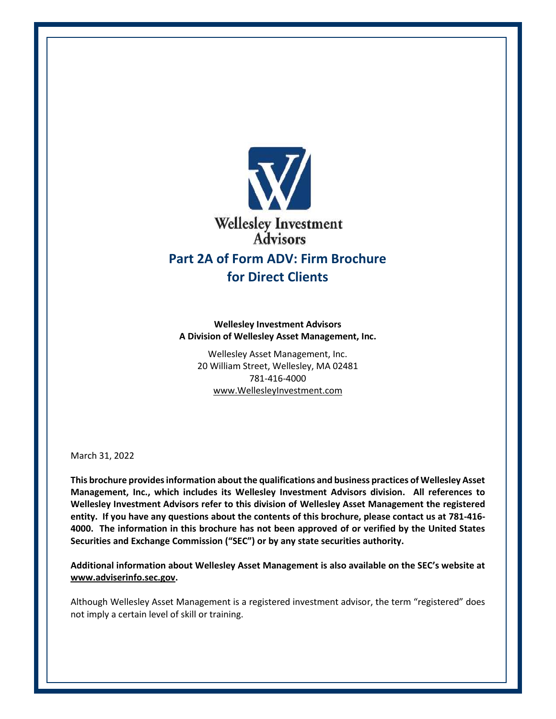

**Wellesley Investment Advisors A Division of Wellesley Asset Management, Inc.**

Wellesley Asset Management, Inc. 20 William Street, Wellesley, MA 02481 781-416-4000 [www.WellesleyInvestment.com](http://www.wellesleyinvestment.com/)

March 31, 2022

**This brochure provides information about the qualifications and business practices of Wellesley Asset Management, Inc., which includes its Wellesley Investment Advisors division. All references to Wellesley Investment Advisors refer to this division of Wellesley Asset Management the registered entity. If you have any questions about the contents of this brochure, please contact us at 781-416- 4000. The information in this brochure has not been approved of or verified by the United States Securities and Exchange Commission ("SEC") or by any state securities authority.**

**Additional information about Wellesley Asset Management is also available on the SEC's website at [www.adviserinfo.sec.gov.](http://www.adviserinfo.sec.gov/)**

Although Wellesley Asset Management is a registered investment advisor, the term "registered" does not imply a certain level of skill or training.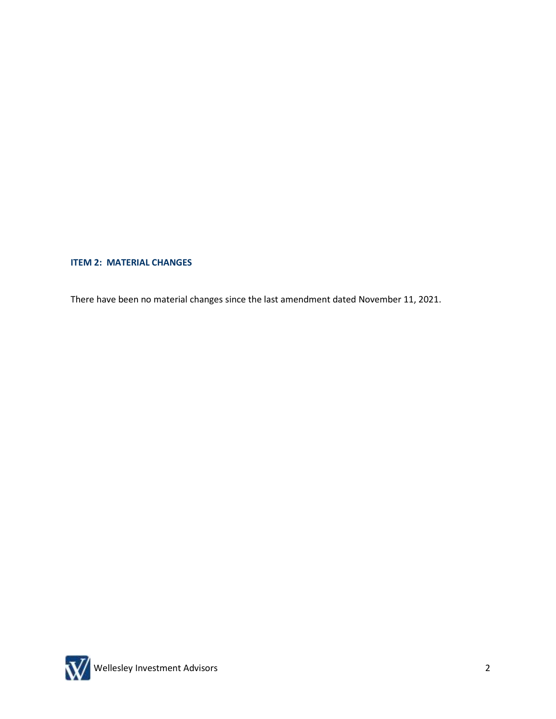# **ITEM 2: MATERIAL CHANGES**

There have been no material changes since the last amendment dated November 11, 2021.

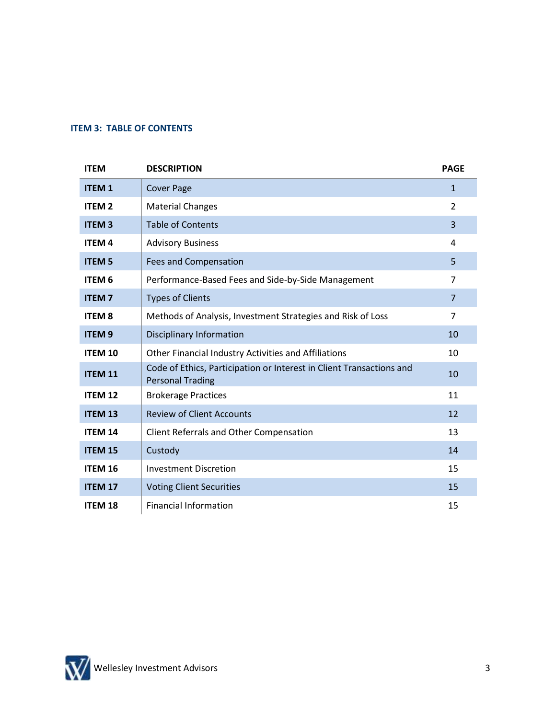### **ITEM 3: TABLE OF CONTENTS**

| <b>ITEM</b>    | <b>DESCRIPTION</b>                                                                              | <b>PAGE</b>    |
|----------------|-------------------------------------------------------------------------------------------------|----------------|
| <b>ITEM1</b>   | <b>Cover Page</b>                                                                               | $\mathbf{1}$   |
| <b>ITEM2</b>   | <b>Material Changes</b>                                                                         | 2              |
| <b>ITEM3</b>   | <b>Table of Contents</b>                                                                        | $\overline{3}$ |
| <b>ITEM4</b>   | <b>Advisory Business</b>                                                                        | 4              |
| <b>ITEM 5</b>  | <b>Fees and Compensation</b>                                                                    | 5              |
| <b>ITEM 6</b>  | Performance-Based Fees and Side-by-Side Management                                              | $\overline{7}$ |
| <b>ITEM7</b>   | <b>Types of Clients</b>                                                                         | $\overline{7}$ |
| <b>ITEM 8</b>  | Methods of Analysis, Investment Strategies and Risk of Loss                                     | $\overline{7}$ |
| <b>ITEM9</b>   | <b>Disciplinary Information</b>                                                                 | 10             |
| <b>ITEM 10</b> | Other Financial Industry Activities and Affiliations                                            | 10             |
| <b>ITEM 11</b> | Code of Ethics, Participation or Interest in Client Transactions and<br><b>Personal Trading</b> | 10             |
| <b>ITEM 12</b> | <b>Brokerage Practices</b>                                                                      | 11             |
| <b>ITEM 13</b> | <b>Review of Client Accounts</b>                                                                | 12             |
| <b>ITEM 14</b> | Client Referrals and Other Compensation                                                         | 13             |
| <b>ITEM 15</b> | Custody                                                                                         | 14             |
| <b>ITEM 16</b> | <b>Investment Discretion</b>                                                                    | 15             |
| <b>ITEM 17</b> | <b>Voting Client Securities</b>                                                                 | 15             |
| <b>ITEM 18</b> | <b>Financial Information</b>                                                                    | 15             |

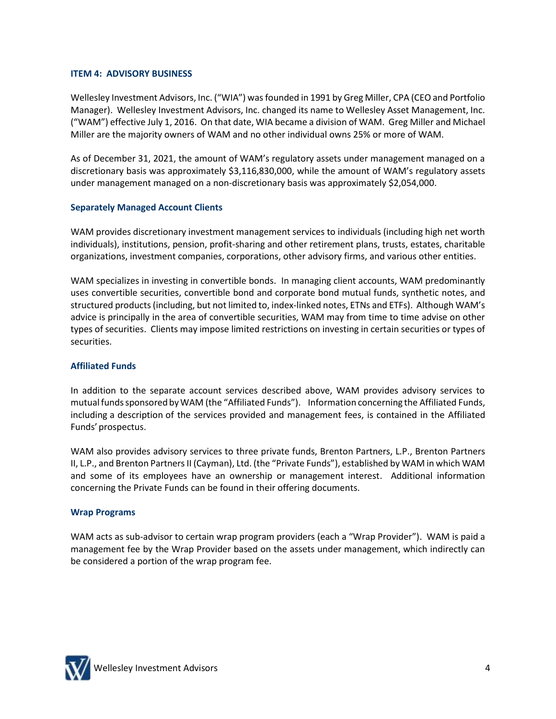## **ITEM 4: ADVISORY BUSINESS**

Wellesley Investment Advisors, Inc. ("WIA") was founded in 1991 by Greg Miller, CPA (CEO and Portfolio Manager). Wellesley Investment Advisors, Inc. changed its name to Wellesley Asset Management, Inc. ("WAM") effective July 1, 2016. On that date, WIA became a division of WAM. Greg Miller and Michael Miller are the majority owners of WAM and no other individual owns 25% or more of WAM.

As of December 31, 2021, the amount of WAM's regulatory assets under management managed on a discretionary basis was approximately \$3,116,830,000, while the amount of WAM's regulatory assets under management managed on a non-discretionary basis was approximately \$2,054,000.

# **Separately Managed Account Clients**

WAM provides discretionary investment management services to individuals (including high net worth individuals), institutions, pension, profit-sharing and other retirement plans, trusts, estates, charitable organizations, investment companies, corporations, other advisory firms, and various other entities.

WAM specializes in investing in convertible bonds. In managing client accounts, WAM predominantly uses convertible securities, convertible bond and corporate bond mutual funds, synthetic notes, and structured products (including, but not limited to, index-linked notes, ETNs and ETFs). Although WAM's advice is principally in the area of convertible securities, WAM may from time to time advise on other types of securities. Clients may impose limited restrictions on investing in certain securities or types of securities.

## **Affiliated Funds**

In addition to the separate account services described above, WAM provides advisory services to mutual funds sponsored by WAM (the "Affiliated Funds"). Information concerning the Affiliated Funds, including a description of the services provided and management fees, is contained in the Affiliated Funds' prospectus.

WAM also provides advisory services to three private funds, Brenton Partners, L.P., Brenton Partners II, L.P., and Brenton Partners II (Cayman), Ltd. (the "Private Funds"), established by WAM in which WAM and some of its employees have an ownership or management interest. Additional information concerning the Private Funds can be found in their offering documents.

## **Wrap Programs**

WAM acts as sub-advisor to certain wrap program providers (each a "Wrap Provider"). WAM is paid a management fee by the Wrap Provider based on the assets under management, which indirectly can be considered a portion of the wrap program fee.

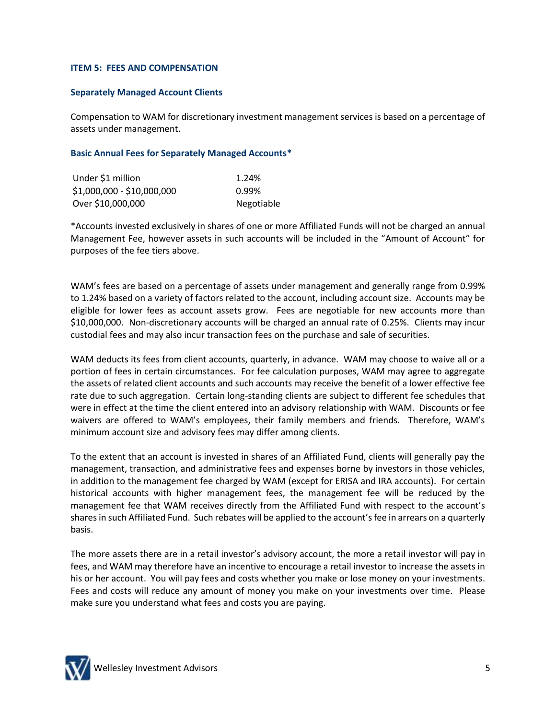### **ITEM 5: FEES AND COMPENSATION**

### **Separately Managed Account Clients**

Compensation to WAM for discretionary investment management services is based on a percentage of assets under management.

### **Basic Annual Fees for Separately Managed Accounts\***

| Under \$1 million          | 1.24%      |
|----------------------------|------------|
| \$1,000,000 - \$10,000,000 | 0.99%      |
| Over \$10,000,000          | Negotiable |

\*Accounts invested exclusively in shares of one or more Affiliated Funds will not be charged an annual Management Fee, however assets in such accounts will be included in the "Amount of Account" for purposes of the fee tiers above.

WAM's fees are based on a percentage of assets under management and generally range from 0.99% to 1.24% based on a variety of factors related to the account, including account size. Accounts may be eligible for lower fees as account assets grow. Fees are negotiable for new accounts more than \$10,000,000. Non-discretionary accounts will be charged an annual rate of 0.25%. Clients may incur custodial fees and may also incur transaction fees on the purchase and sale of securities.

WAM deducts its fees from client accounts, quarterly, in advance. WAM may choose to waive all or a portion of fees in certain circumstances. For fee calculation purposes, WAM may agree to aggregate the assets of related client accounts and such accounts may receive the benefit of a lower effective fee rate due to such aggregation. Certain long-standing clients are subject to different fee schedules that were in effect at the time the client entered into an advisory relationship with WAM. Discounts or fee waivers are offered to WAM's employees, their family members and friends. Therefore, WAM's minimum account size and advisory fees may differ among clients.

To the extent that an account is invested in shares of an Affiliated Fund, clients will generally pay the management, transaction, and administrative fees and expenses borne by investors in those vehicles, in addition to the management fee charged by WAM (except for ERISA and IRA accounts). For certain historical accounts with higher management fees, the management fee will be reduced by the management fee that WAM receives directly from the Affiliated Fund with respect to the account's shares in such Affiliated Fund. Such rebates will be applied to the account's fee in arrears on a quarterly basis.

The more assets there are in a retail investor's advisory account, the more a retail investor will pay in fees, and WAM may therefore have an incentive to encourage a retail investor to increase the assets in his or her account. You will pay fees and costs whether you make or lose money on your investments. Fees and costs will reduce any amount of money you make on your investments over time. Please make sure you understand what fees and costs you are paying.

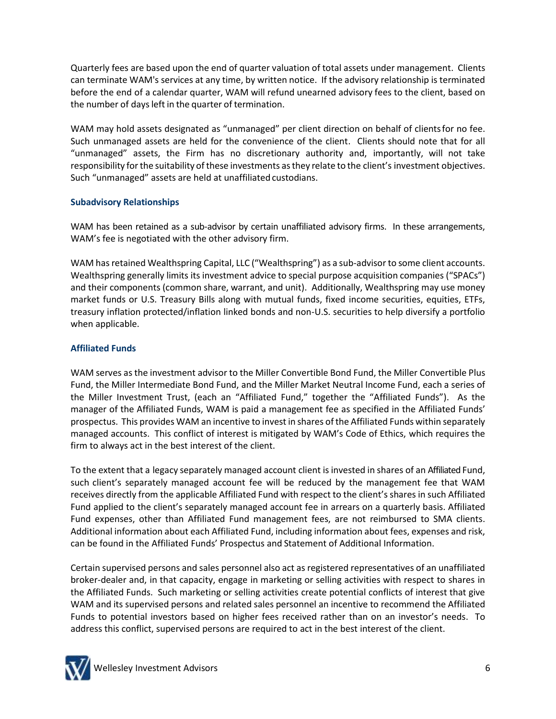Quarterly fees are based upon the end of quarter valuation of total assets under management. Clients can terminate WAM's services at any time, by written notice. If the advisory relationship is terminated before the end of a calendar quarter, WAM will refund unearned advisory fees to the client, based on the number of days left in the quarter of termination.

WAM may hold assets designated as "unmanaged" per client direction on behalf of clientsfor no fee. Such unmanaged assets are held for the convenience of the client. Clients should note that for all "unmanaged" assets, the Firm has no discretionary authority and, importantly, will not take responsibility for the suitability of these investments as they relate to the client's investment objectives. Such "unmanaged" assets are held at unaffiliated custodians.

## **Subadvisory Relationships**

WAM has been retained as a sub-advisor by certain unaffiliated advisory firms. In these arrangements, WAM's fee is negotiated with the other advisory firm.

WAM has retained Wealthspring Capital, LLC ("Wealthspring") as a sub-advisor to some client accounts. Wealthspring generally limits its investment advice to special purpose acquisition companies ("SPACs") and their components (common share, warrant, and unit). Additionally, Wealthspring may use money market funds or U.S. Treasury Bills along with mutual funds, fixed income securities, equities, ETFs, treasury inflation protected/inflation linked bonds and non-U.S. securities to help diversify a portfolio when applicable.

## **Affiliated Funds**

WAM serves as the investment advisor to the Miller Convertible Bond Fund, the Miller Convertible Plus Fund, the Miller Intermediate Bond Fund, and the Miller Market Neutral Income Fund, each a series of the Miller Investment Trust, (each an "Affiliated Fund," together the "Affiliated Funds"). As the manager of the Affiliated Funds, WAM is paid a management fee as specified in the Affiliated Funds' prospectus. This provides WAM an incentive to invest in shares of the Affiliated Funds within separately managed accounts. This conflict of interest is mitigated by WAM's Code of Ethics, which requires the firm to always act in the best interest of the client.

To the extent that a legacy separately managed account client is invested in shares of an Affiliated Fund, such client's separately managed account fee will be reduced by the management fee that WAM receives directly from the applicable Affiliated Fund with respect to the client's shares in such Affiliated Fund applied to the client's separately managed account fee in arrears on a quarterly basis. Affiliated Fund expenses, other than Affiliated Fund management fees, are not reimbursed to SMA clients. Additional information about each Affiliated Fund, including information about fees, expenses and risk, can be found in the Affiliated Funds' Prospectus and Statement of Additional Information.

Certain supervised persons and sales personnel also act as registered representatives of an unaffiliated broker-dealer and, in that capacity, engage in marketing or selling activities with respect to shares in the Affiliated Funds. Such marketing or selling activities create potential conflicts of interest that give WAM and its supervised persons and related sales personnel an incentive to recommend the Affiliated Funds to potential investors based on higher fees received rather than on an investor's needs. To address this conflict, supervised persons are required to act in the best interest of the client.

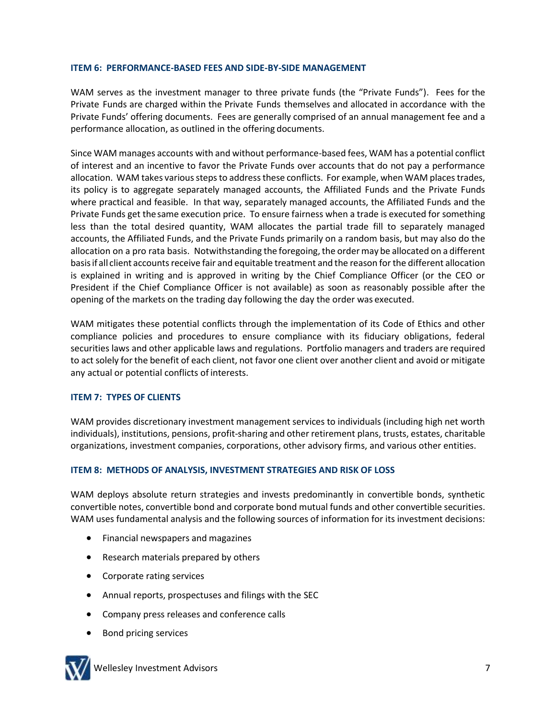## **ITEM 6: PERFORMANCE-BASED FEES AND SIDE-BY-SIDE MANAGEMENT**

WAM serves as the investment manager to three private funds (the "Private Funds"). Fees for the Private Funds are charged within the Private Funds themselves and allocated in accordance with the Private Funds' offering documents. Fees are generally comprised of an annual management fee and a performance allocation, as outlined in the offering documents.

Since WAM manages accounts with and without performance-based fees, WAM has a potential conflict of interest and an incentive to favor the Private Funds over accounts that do not pay a performance allocation. WAM takes various steps to address these conflicts. For example, when WAM places trades, its policy is to aggregate separately managed accounts, the Affiliated Funds and the Private Funds where practical and feasible. In that way, separately managed accounts, the Affiliated Funds and the Private Funds get thesame execution price. To ensure fairness when a trade is executed for something less than the total desired quantity, WAM allocates the partial trade fill to separately managed accounts, the Affiliated Funds, and the Private Funds primarily on a random basis, but may also do the allocation on a pro rata basis. Notwithstanding the foregoing, the order may be allocated on a different basisif all client accounts receive fair and equitable treatment and the reason for the different allocation is explained in writing and is approved in writing by the Chief Compliance Officer (or the CEO or President if the Chief Compliance Officer is not available) as soon as reasonably possible after the opening of the markets on the trading day following the day the order was executed.

WAM mitigates these potential conflicts through the implementation of its Code of Ethics and other compliance policies and procedures to ensure compliance with its fiduciary obligations, federal securities laws and other applicable laws and regulations. Portfolio managers and traders are required to act solely for the benefit of each client, not favor one client over another client and avoid or mitigate any actual or potential conflicts of interests.

# **ITEM 7: TYPES OF CLIENTS**

WAM provides discretionary investment management services to individuals (including high net worth individuals), institutions, pensions, profit-sharing and other retirement plans, trusts, estates, charitable organizations, investment companies, corporations, other advisory firms, and various other entities.

# **ITEM 8: METHODS OF ANALYSIS, INVESTMENT STRATEGIES AND RISK OF LOSS**

WAM deploys absolute return strategies and invests predominantly in convertible bonds, synthetic convertible notes, convertible bond and corporate bond mutual funds and other convertible securities. WAM uses fundamental analysis and the following sources of information for its investment decisions:

- Financial newspapers and magazines
- Research materials prepared by others
- Corporate rating services
- Annual reports, prospectuses and filings with the SEC
- Company press releases and conference calls
- Bond pricing services

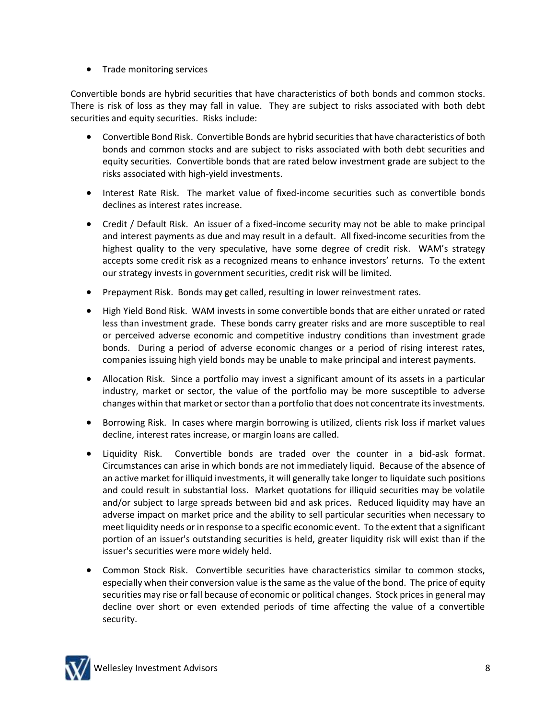• Trade monitoring services

Convertible bonds are hybrid securities that have characteristics of both bonds and common stocks. There is risk of loss as they may fall in value. They are subject to risks associated with both debt securities and equity securities. Risks include:

- Convertible Bond Risk. Convertible Bonds are hybrid securities that have characteristics of both bonds and common stocks and are subject to risks associated with both debt securities and equity securities. Convertible bonds that are rated below investment grade are subject to the risks associated with high-yield investments.
- Interest Rate Risk. The market value of fixed-income securities such as convertible bonds declines as interest rates increase.
- Credit / Default Risk. An issuer of a fixed-income security may not be able to make principal and interest payments as due and may result in a default. All fixed-income securities from the highest quality to the very speculative, have some degree of credit risk. WAM's strategy accepts some credit risk as a recognized means to enhance investors' returns. To the extent our strategy invests in government securities, credit risk will be limited.
- Prepayment Risk. Bonds may get called, resulting in lower reinvestment rates.
- High Yield Bond Risk. WAM invests in some convertible bonds that are either unrated or rated less than investment grade. These bonds carry greater risks and are more susceptible to real or perceived adverse economic and competitive industry conditions than investment grade bonds. During a period of adverse economic changes or a period of rising interest rates, companies issuing high yield bonds may be unable to make principal and interest payments.
- Allocation Risk. Since a portfolio may invest a significant amount of its assets in a particular industry, market or sector, the value of the portfolio may be more susceptible to adverse changes within that market or sector than a portfolio that does not concentrate its investments.
- Borrowing Risk. In cases where margin borrowing is utilized, clients risk loss if market values decline, interest rates increase, or margin loans are called.
- Liquidity Risk. Convertible bonds are traded over the counter in a bid-ask format. Circumstances can arise in which bonds are not immediately liquid. Because of the absence of an active market for illiquid investments, it will generally take longer to liquidate such positions and could result in substantial loss. Market quotations for illiquid securities may be volatile and/or subject to large spreads between bid and ask prices. Reduced liquidity may have an adverse impact on market price and the ability to sell particular securities when necessary to meet liquidity needs or in response to a specific economic event. To the extent that a significant portion of an issuer's outstanding securities is held, greater liquidity risk will exist than if the issuer's securities were more widely held.
- Common Stock Risk. Convertible securities have characteristics similar to common stocks, especially when their conversion value is the same as the value of the bond. The price of equity securities may rise or fall because of economic or political changes. Stock prices in general may decline over short or even extended periods of time affecting the value of a convertible security.

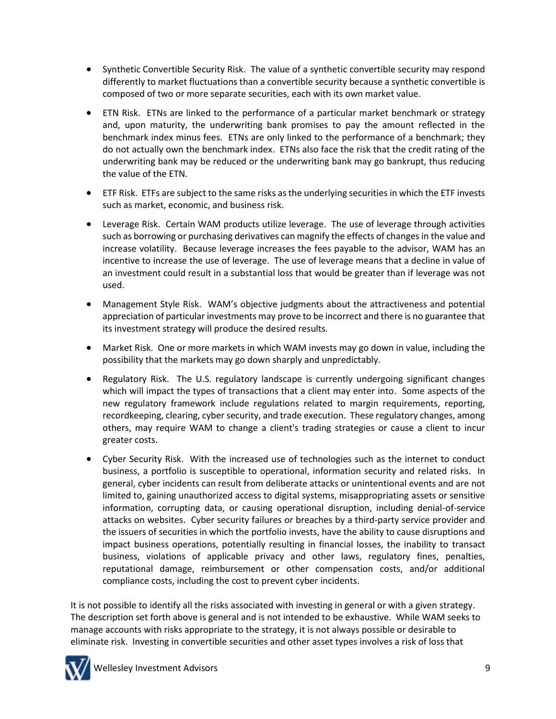- Synthetic Convertible Security Risk. The value of a synthetic convertible security may respond differently to market fluctuations than a convertible security because a synthetic convertible is composed of two or more separate securities, each with its own market value.
- ETN Risk. ETNs are linked to the performance of a particular market benchmark or strategy and, upon maturity, the underwriting bank promises to pay the amount reflected in the benchmark index minus fees. ETNs are only linked to the performance of a benchmark; they do not actually own the benchmark index. ETNs also face the risk that the credit rating of the underwriting bank may be reduced or the underwriting bank may go bankrupt, thus reducing the value of the ETN.
- ETF Risk. ETFs are subject to the same risks as the underlying securities in which the ETF invests such as market, economic, and business risk.
- Leverage Risk. Certain WAM products utilize leverage. The use of leverage through activities such as borrowing or purchasing derivatives can magnify the effects of changes in the value and increase volatility. Because leverage increases the fees payable to the advisor, WAM has an incentive to increase the use of leverage. The use of leverage means that a decline in value of an investment could result in a substantial loss that would be greater than if leverage was not used.
- Management Style Risk. WAM's objective judgments about the attractiveness and potential appreciation of particular investments may prove to be incorrect and there is no guarantee that its investment strategy will produce the desired results.
- Market Risk. One or more markets in which WAM invests may go down in value, including the possibility that the markets may go down sharply and unpredictably.
- Regulatory Risk. The U.S. regulatory landscape is currently undergoing significant changes which will impact the types of transactions that a client may enter into. Some aspects of the new regulatory framework include regulations related to margin requirements, reporting, recordkeeping, clearing, cyber security, and trade execution. These regulatory changes, among others, may require WAM to change a client's trading strategies or cause a client to incur greater costs.
- Cyber Security Risk. With the increased use of technologies such as the internet to conduct business, a portfolio is susceptible to operational, information security and related risks. In general, cyber incidents can result from deliberate attacks or unintentional events and are not limited to, gaining unauthorized access to digital systems, misappropriating assets or sensitive information, corrupting data, or causing operational disruption, including denial-of-service attacks on websites. Cyber security failures or breaches by a third-party service provider and the issuers of securities in which the portfolio invests, have the ability to cause disruptions and impact business operations, potentially resulting in financial losses, the inability to transact business, violations of applicable privacy and other laws, regulatory fines, penalties, reputational damage, reimbursement or other compensation costs, and/or additional compliance costs, including the cost to prevent cyber incidents.

It is not possible to identify all the risks associated with investing in general or with a given strategy. The description set forth above is general and is not intended to be exhaustive. While WAM seeks to manage accounts with risks appropriate to the strategy, it is not always possible or desirable to eliminate risk. Investing in convertible securities and other asset types involves a risk of loss that



Wellesley Investment Advisors 9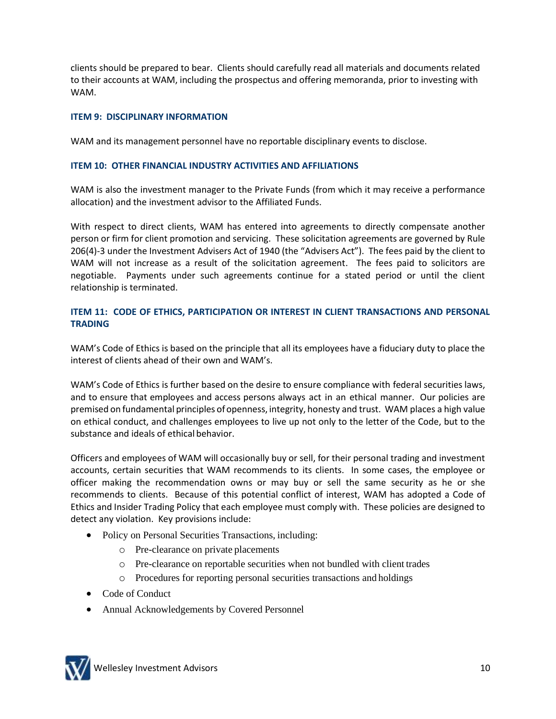clients should be prepared to bear. Clients should carefully read all materials and documents related to their accounts at WAM, including the prospectus and offering memoranda, prior to investing with WAM.

## **ITEM 9: DISCIPLINARY INFORMATION**

WAM and its management personnel have no reportable disciplinary events to disclose.

### **ITEM 10: OTHER FINANCIAL INDUSTRY ACTIVITIES AND AFFILIATIONS**

WAM is also the investment manager to the Private Funds (from which it may receive a performance allocation) and the investment advisor to the Affiliated Funds.

With respect to direct clients, WAM has entered into agreements to directly compensate another person or firm for client promotion and servicing. These solicitation agreements are governed by Rule 206(4)-3 under the Investment Advisers Act of 1940 (the "Advisers Act"). The fees paid by the client to WAM will not increase as a result of the solicitation agreement. The fees paid to solicitors are negotiable. Payments under such agreements continue for a stated period or until the client relationship is terminated.

## **ITEM 11: CODE OF ETHICS, PARTICIPATION OR INTEREST IN CLIENT TRANSACTIONS AND PERSONAL TRADING**

WAM's Code of Ethics is based on the principle that all its employees have a fiduciary duty to place the interest of clients ahead of their own and WAM's.

WAM's Code of Ethics is further based on the desire to ensure compliance with federal securities laws, and to ensure that employees and access persons always act in an ethical manner. Our policies are premised on fundamental principles ofopenness, integrity, honesty and trust. WAM places a high value on ethical conduct, and challenges employees to live up not only to the letter of the Code, but to the substance and ideals of ethical behavior.

Officers and employees of WAM will occasionally buy or sell, for their personal trading and investment accounts, certain securities that WAM recommends to its clients. In some cases, the employee or officer making the recommendation owns or may buy or sell the same security as he or she recommends to clients. Because of this potential conflict of interest, WAM has adopted a Code of Ethics and Insider Trading Policy that each employee must comply with. These policies are designed to detect any violation. Key provisions include:

- Policy on Personal Securities Transactions, including:
	- o Pre-clearance on private placements
	- o Pre-clearance on reportable securities when not bundled with client trades
	- o Procedures for reporting personal securities transactions and holdings
- Code of Conduct
- Annual Acknowledgements by Covered Personnel

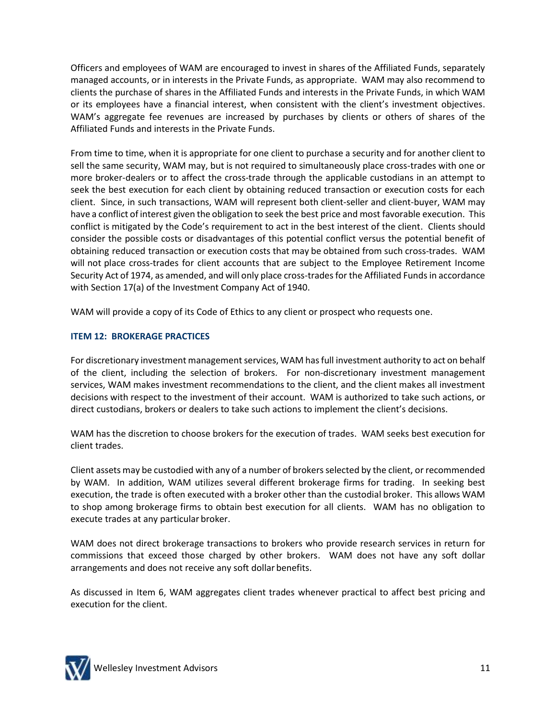Officers and employees of WAM are encouraged to invest in shares of the Affiliated Funds, separately managed accounts, or in interests in the Private Funds, as appropriate. WAM may also recommend to clients the purchase of shares in the Affiliated Funds and interests in the Private Funds, in which WAM or its employees have a financial interest, when consistent with the client's investment objectives. WAM's aggregate fee revenues are increased by purchases by clients or others of shares of the Affiliated Funds and interests in the Private Funds.

From time to time, when it is appropriate for one client to purchase a security and for another client to sell the same security, WAM may, but is not required to simultaneously place cross-trades with one or more broker-dealers or to affect the cross-trade through the applicable custodians in an attempt to seek the best execution for each client by obtaining reduced transaction or execution costs for each client. Since, in such transactions, WAM will represent both client-seller and client-buyer, WAM may have a conflict of interest given the obligation to seek the best price and most favorable execution. This conflict is mitigated by the Code's requirement to act in the best interest of the client. Clients should consider the possible costs or disadvantages of this potential conflict versus the potential benefit of obtaining reduced transaction or execution costs that may be obtained from such cross-trades. WAM will not place cross-trades for client accounts that are subject to the Employee Retirement Income Security Act of 1974, as amended, and will only place cross-trades for the Affiliated Funds in accordance with Section 17(a) of the Investment Company Act of 1940.

WAM will provide a copy of its Code of Ethics to any client or prospect who requests one.

## **ITEM 12: BROKERAGE PRACTICES**

For discretionary investment management services, WAM has full investment authority to act on behalf of the client, including the selection of brokers. For non-discretionary investment management services, WAM makes investment recommendations to the client, and the client makes all investment decisions with respect to the investment of their account. WAM is authorized to take such actions, or direct custodians, brokers or dealers to take such actions to implement the client's decisions.

WAM has the discretion to choose brokers for the execution of trades. WAM seeks best execution for client trades.

Client assets may be custodied with any of a number of brokers selected by the client, or recommended by WAM. In addition, WAM utilizes several different brokerage firms for trading. In seeking best execution, the trade is often executed with a broker other than the custodial broker. This allows WAM to shop among brokerage firms to obtain best execution for all clients. WAM has no obligation to execute trades at any particular broker.

WAM does not direct brokerage transactions to brokers who provide research services in return for commissions that exceed those charged by other brokers. WAM does not have any soft dollar arrangements and does not receive any soft dollar benefits.

As discussed in Item 6, WAM aggregates client trades whenever practical to affect best pricing and execution for the client.

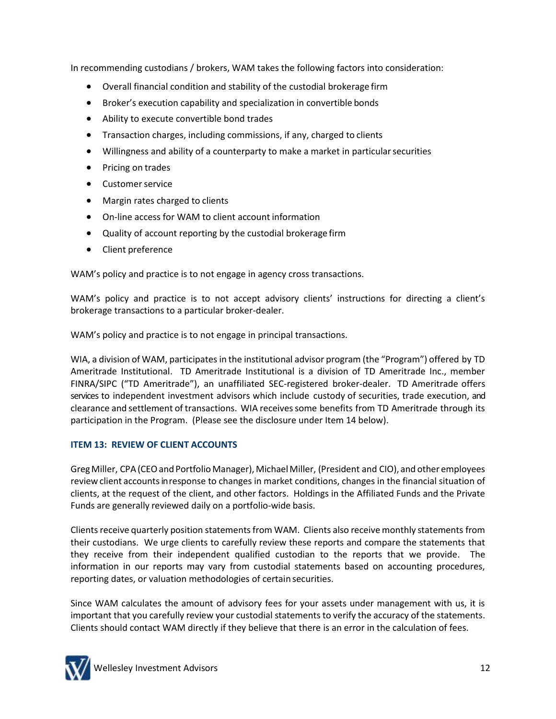In recommending custodians / brokers, WAM takes the following factors into consideration:

- Overall financial condition and stability of the custodial brokerage firm
- Broker's execution capability and specialization in convertible bonds
- Ability to execute convertible bond trades
- Transaction charges, including commissions, if any, charged to clients
- Willingness and ability of a counterparty to make a market in particularsecurities
- Pricing on trades
- Customer service
- Margin rates charged to clients
- On-line access for WAM to client account information
- Quality of account reporting by the custodial brokerage firm
- Client preference

WAM's policy and practice is to not engage in agency cross transactions.

WAM's policy and practice is to not accept advisory clients' instructions for directing a client's brokerage transactions to a particular broker-dealer.

WAM's policy and practice is to not engage in principal transactions.

WIA, a division of WAM, participates in the institutional advisor program (the "Program") offered by TD Ameritrade Institutional. TD Ameritrade Institutional is a division of TD Ameritrade Inc., member FINRA/SIPC ("TD Ameritrade"), an unaffiliated SEC-registered broker-dealer. TD Ameritrade offers services to independent investment advisors which include custody of securities, trade execution, and clearance and settlement of transactions. WIA receivessome benefits from TD Ameritrade through its participation in the Program. (Please see the disclosure under Item 14 below).

# **ITEM 13: REVIEW OF CLIENT ACCOUNTS**

Greg Miller, CPA (CEO and Portfolio Manager), Michael Miller, (President and CIO), and other employees review client accountsinresponse to changes in market conditions, changes in the financial situation of clients, at the request of the client, and other factors. Holdings in the Affiliated Funds and the Private Funds are generally reviewed daily on a portfolio-wide basis.

Clients receive quarterly position statements from WAM. Clients also receive monthly statements from their custodians. We urge clients to carefully review these reports and compare the statements that they receive from their independent qualified custodian to the reports that we provide. The information in our reports may vary from custodial statements based on accounting procedures, reporting dates, or valuation methodologies of certain securities.

Since WAM calculates the amount of advisory fees for your assets under management with us, it is important that you carefully review your custodial statements to verify the accuracy of the statements. Clients should contact WAM directly if they believe that there is an error in the calculation of fees.

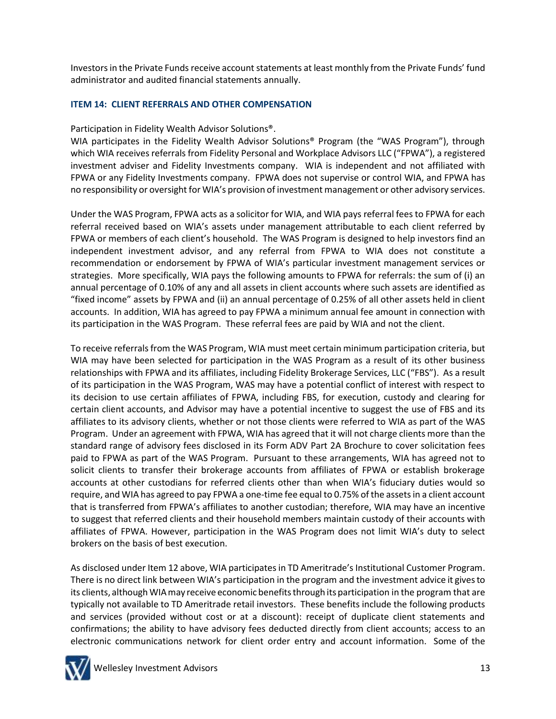Investors in the Private Funds receive account statements at least monthly from the Private Funds' fund administrator and audited financial statements annually.

## **ITEM 14: CLIENT REFERRALS AND OTHER COMPENSATION**

Participation in Fidelity Wealth Advisor Solutions®.

WIA participates in the Fidelity Wealth Advisor Solutions® Program (the "WAS Program"), through which WIA receives referrals from Fidelity Personal and Workplace Advisors LLC ("FPWA"), a registered investment adviser and Fidelity Investments company. WIA is independent and not affiliated with FPWA or any Fidelity Investments company. FPWA does not supervise or control WIA, and FPWA has no responsibility or oversight for WIA's provision of investment management or other advisory services.

Under the WAS Program, FPWA acts as a solicitor for WIA, and WIA pays referral fees to FPWA for each referral received based on WIA's assets under management attributable to each client referred by FPWA or members of each client's household. The WAS Program is designed to help investors find an independent investment advisor, and any referral from FPWA to WIA does not constitute a recommendation or endorsement by FPWA of WIA's particular investment management services or strategies. More specifically, WIA pays the following amounts to FPWA for referrals: the sum of (i) an annual percentage of 0.10% of any and all assets in client accounts where such assets are identified as "fixed income" assets by FPWA and (ii) an annual percentage of 0.25% of all other assets held in client accounts. In addition, WIA has agreed to pay FPWA a minimum annual fee amount in connection with its participation in the WAS Program. These referral fees are paid by WIA and not the client.

To receive referrals from the WAS Program, WIA must meet certain minimum participation criteria, but WIA may have been selected for participation in the WAS Program as a result of its other business relationships with FPWA and its affiliates, including Fidelity Brokerage Services, LLC ("FBS"). As a result of its participation in the WAS Program, WAS may have a potential conflict of interest with respect to its decision to use certain affiliates of FPWA, including FBS, for execution, custody and clearing for certain client accounts, and Advisor may have a potential incentive to suggest the use of FBS and its affiliates to its advisory clients, whether or not those clients were referred to WIA as part of the WAS Program. Under an agreement with FPWA, WIA has agreed that it will not charge clients more than the standard range of advisory fees disclosed in its Form ADV Part 2A Brochure to cover solicitation fees paid to FPWA as part of the WAS Program. Pursuant to these arrangements, WIA has agreed not to solicit clients to transfer their brokerage accounts from affiliates of FPWA or establish brokerage accounts at other custodians for referred clients other than when WIA's fiduciary duties would so require, and WIA has agreed to pay FPWA a one-time fee equal to 0.75% of the assets in a client account that is transferred from FPWA's affiliates to another custodian; therefore, WIA may have an incentive to suggest that referred clients and their household members maintain custody of their accounts with affiliates of FPWA. However, participation in the WAS Program does not limit WIA's duty to select brokers on the basis of best execution.

As disclosed under Item 12 above, WIA participates in TD Ameritrade's Institutional Customer Program. There is no direct link between WIA's participation in the program and the investment advice it givesto its clients, although WIAmay receive economic benefitsthrough its participation in the program that are typically not available to TD Ameritrade retail investors. These benefits include the following products and services (provided without cost or at a discount): receipt of duplicate client statements and confirmations; the ability to have advisory fees deducted directly from client accounts; access to an electronic communications network for client order entry and account information. Some of the

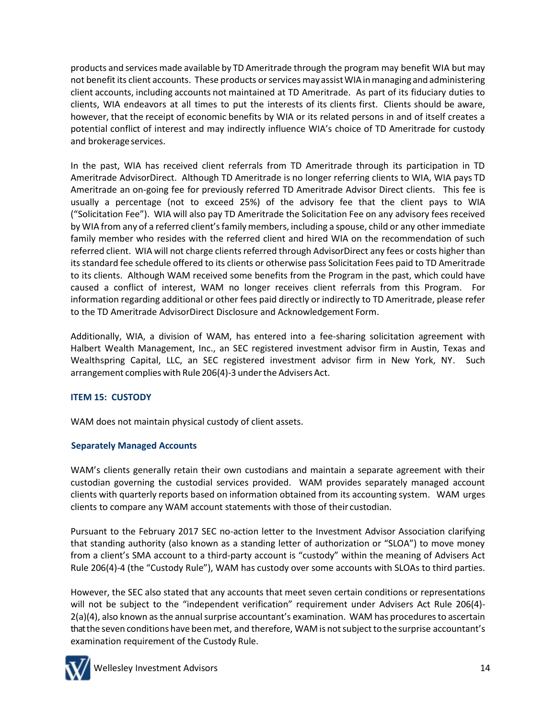products and services made available by TD Ameritrade through the program may benefit WIA but may not benefit its client accounts. These products or services may assist WIA in managing and administering client accounts, including accounts not maintained at TD Ameritrade. As part of its fiduciary duties to clients, WIA endeavors at all times to put the interests of its clients first. Clients should be aware, however, that the receipt of economic benefits by WIA or its related persons in and of itself creates a potential conflict of interest and may indirectly influence WIA's choice of TD Ameritrade for custody and brokerage services.

In the past, WIA has received client referrals from TD Ameritrade through its participation in TD Ameritrade AdvisorDirect. Although TD Ameritrade is no longer referring clients to WIA, WIA pays TD Ameritrade an on-going fee for previously referred TD Ameritrade Advisor Direct clients. This fee is usually a percentage (not to exceed 25%) of the advisory fee that the client pays to WIA ("Solicitation Fee"). WIA will also pay TD Ameritrade the Solicitation Fee on any advisory fees received by WIA from any of a referred client's family members, including a spouse, child or any other immediate family member who resides with the referred client and hired WIA on the recommendation of such referred client. WIA will not charge clients referred through AdvisorDirect any fees or costs higher than its standard fee schedule offered to its clients or otherwise pass Solicitation Fees paid to TD Ameritrade to its clients. Although WAM received some benefits from the Program in the past, which could have caused a conflict of interest, WAM no longer receives client referrals from this Program. For information regarding additional or other fees paid directly or indirectly to TD Ameritrade, please refer to the TD Ameritrade AdvisorDirect Disclosure and Acknowledgement Form.

Additionally, WIA, a division of WAM, has entered into a fee-sharing solicitation agreement with Halbert Wealth Management, Inc., an SEC registered investment advisor firm in Austin, Texas and Wealthspring Capital, LLC, an SEC registered investment advisor firm in New York, NY. Such arrangement complies with Rule 206(4)-3 under the Advisers Act.

# **ITEM 15: CUSTODY**

WAM does not maintain physical custody of client assets.

# **Separately Managed Accounts**

WAM's clients generally retain their own custodians and maintain a separate agreement with their custodian governing the custodial services provided. WAM provides separately managed account clients with quarterly reports based on information obtained from its accounting system. WAM urges clients to compare any WAM account statements with those of their custodian.

Pursuant to the February 2017 SEC no-action letter to the Investment Advisor Association clarifying that standing authority (also known as a standing letter of authorization or "SLOA") to move money from a client's SMA account to a third-party account is "custody" within the meaning of Advisers Act Rule 206(4)-4 (the "Custody Rule"), WAM has custody over some accounts with SLOAs to third parties.

However, the SEC also stated that any accounts that meet seven certain conditions or representations will not be subject to the "independent verification" requirement under Advisers Act Rule 206(4)- $2(a)(4)$ , also known as the annual surprise accountant's examination. WAM has procedures to ascertain that the seven conditions have been met, and therefore, WAM is not subject to the surprise accountant's examination requirement of the Custody Rule.